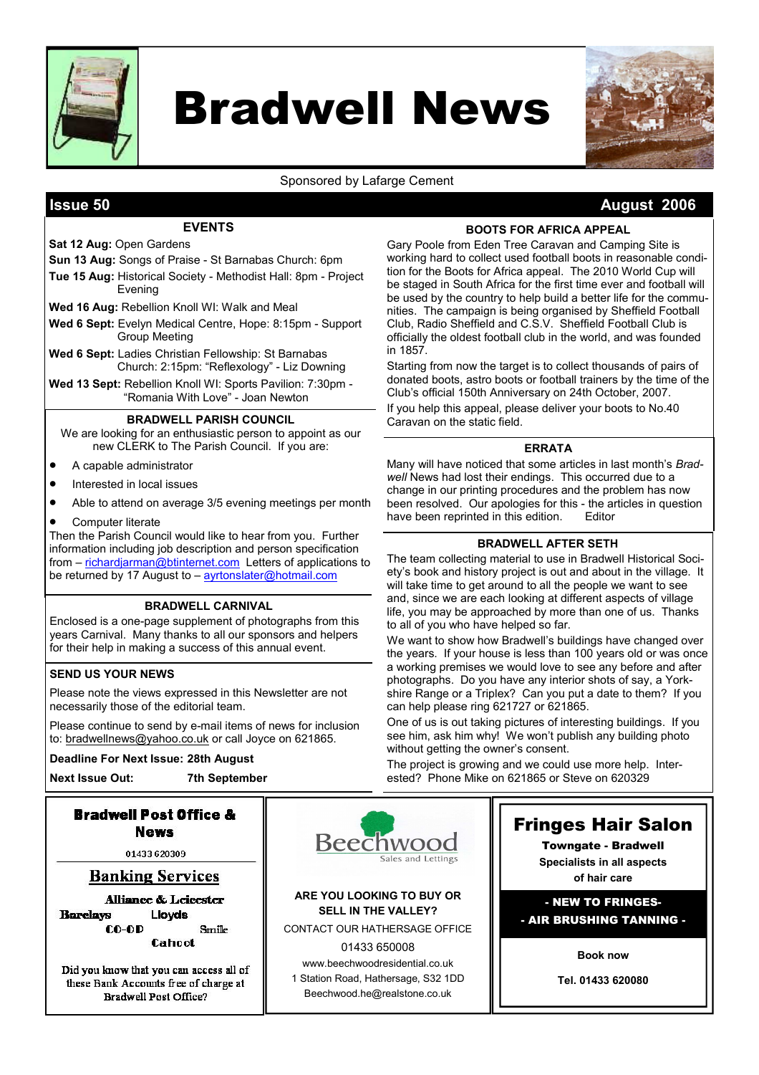

# Bradwell News



Sponsored by Lafarge Cement

### **Issue 50** August 2006

#### EVENTS

Sat 12 Aug: Open Gardens

Sun 13 Aug: Songs of Praise - St Barnabas Church: 6pm

Tue 15 Aug: Historical Society - Methodist Hall: 8pm - Project Evening

Wed 16 Aug: Rebellion Knoll WI: Walk and Meal

Wed 6 Sept: Evelyn Medical Centre, Hope: 8:15pm - Support Group Meeting

Wed 6 Sept: Ladies Christian Fellowship: St Barnabas Church: 2:15pm: "Reflexology" - Liz Downing

Wed 13 Sept: Rebellion Knoll WI: Sports Pavilion: 7:30pm - "Romania With Love" - Joan Newton

#### BRADWELL PARISH COUNCIL

We are looking for an enthusiastic person to appoint as our new CLERK to The Parish Council. If you are:

- A capable administrator
- Interested in local issues
- Able to attend on average 3/5 evening meetings per month
- Computer literate

Then the Parish Council would like to hear from you. Further information including job description and person specification from – richardjarman@btinternet.com Letters of applications to be returned by 17 August to – ayrtonslater@hotmail.com

#### BRADWELL CARNIVAL

Enclosed is a one-page supplement of photographs from this years Carnival. Many thanks to all our sponsors and helpers for their help in making a success of this annual event.

#### SEND US YOUR NEWS

Please note the views expressed in this Newsletter are not necessarily those of the editorial team.

Please continue to send by e-mail items of news for inclusion to: bradwellnews@yahoo.co.uk or call Joyce on 621865.

#### Deadline For Next Issue: 28th August

Next Issue Out: 7th September

#### **Bradwell Post Office & News**

01433 620309

#### **Banking Services**

**Alliance & Leicester Barclays Lloyds CO-OD** Smile Cahoot

Did you know that you can access all of these Bank Accounts free of charge at Bradwell Post Office?



ARE YOU LOOKING TO BUY OR SELL IN THE VALLEY? CONTACT OUR HATHERSAGE OFFICE 01433 650008 www.beechwoodresidential.co.uk 1 Station Road, Hathersage, S32 1DD Beechwood.he@realstone.co.uk

#### BOOTS FOR AFRICA APPEAL

Gary Poole from Eden Tree Caravan and Camping Site is working hard to collect used football boots in reasonable condition for the Boots for Africa appeal. The 2010 World Cup will be staged in South Africa for the first time ever and football will be used by the country to help build a better life for the communities. The campaign is being organised by Sheffield Football Club, Radio Sheffield and C.S.V. Sheffield Football Club is officially the oldest football club in the world, and was founded in 1857.

Starting from now the target is to collect thousands of pairs of donated boots, astro boots or football trainers by the time of the Club's official 150th Anniversary on 24th October, 2007. If you help this appeal, please deliver your boots to No.40 Caravan on the static field.

#### ERRATA

Many will have noticed that some articles in last month's Bradwell News had lost their endings. This occurred due to a change in our printing procedures and the problem has now been resolved. Our apologies for this - the articles in question<br>have been reprinted in this edition. Editor have been reprinted in this edition.

#### BRADWELL AFTER SETH

The team collecting material to use in Bradwell Historical Society's book and history project is out and about in the village. It will take time to get around to all the people we want to see and, since we are each looking at different aspects of village life, you may be approached by more than one of us. Thanks to all of you who have helped so far.

We want to show how Bradwell's buildings have changed over the years. If your house is less than 100 years old or was once a working premises we would love to see any before and after photographs. Do you have any interior shots of say, a Yorkshire Range or a Triplex? Can you put a date to them? If you can help please ring 621727 or 621865.

One of us is out taking pictures of interesting buildings. If you see him, ask him why! We won't publish any building photo without getting the owner's consent.

The project is growing and we could use more help. Interested? Phone Mike on 621865 or Steve on 620329

### Fringes Hair Salon

Towngate - Bradwell Specialists in all aspects of hair care

- NEW TO FRINGES- - AIR BRUSHING TANNING -

Book now

Tel. 01433 620080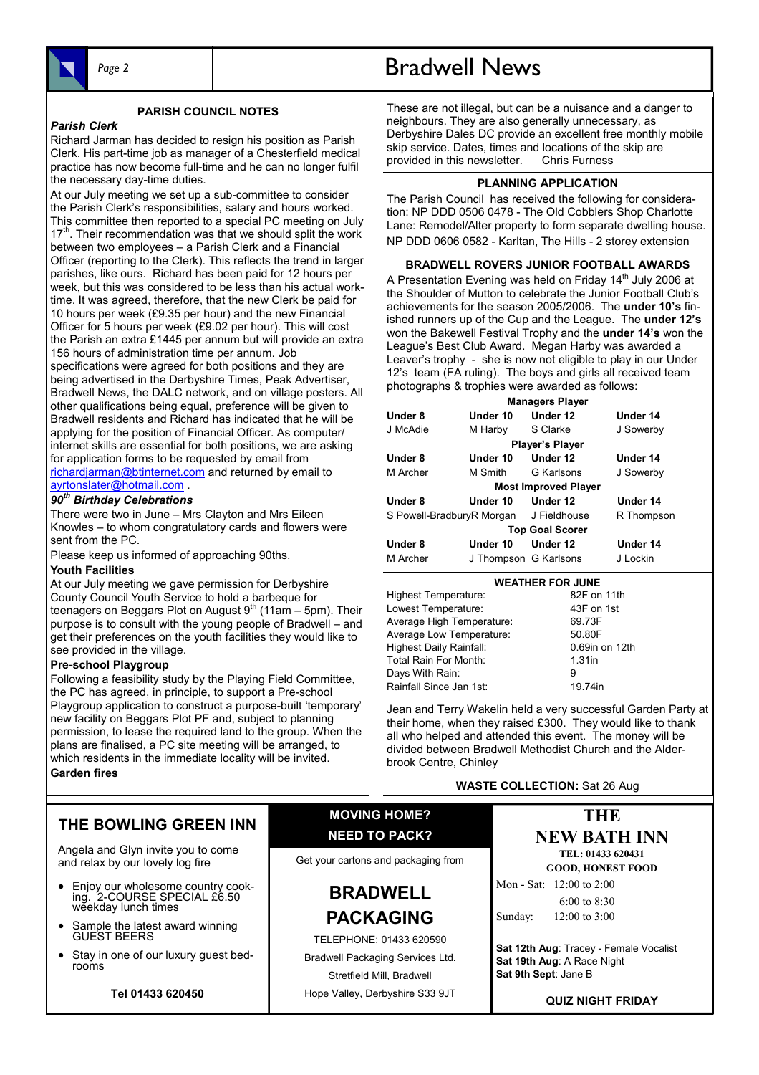## Page 2 and 1 and 1 and 1 and 1 and 1 and 1 and 1 and 1 and 1 and 1 and 1 and 1 and 1 and 1 and 1 and 1 and 1 and 1 and 1 and 1 and 1 and 1 and 1 and 1 and 1 and 1 and 1 and 1 and 1 and 1 and 1 and 1 and 1 and 1 and 1 and 1



#### PARISH COUNCIL NOTES

#### Parish Clerk

Richard Jarman has decided to resign his position as Parish Clerk. His part-time job as manager of a Chesterfield medical practice has now become full-time and he can no longer fulfil the necessary day-time duties.

At our July meeting we set up a sub-committee to consider the Parish Clerk's responsibilities, salary and hours worked. This committee then reported to a special PC meeting on July 17<sup>th</sup>. Their recommendation was that we should split the work between two employees – a Parish Clerk and a Financial Officer (reporting to the Clerk). This reflects the trend in larger parishes, like ours. Richard has been paid for 12 hours per week, but this was considered to be less than his actual worktime. It was agreed, therefore, that the new Clerk be paid for 10 hours per week (£9.35 per hour) and the new Financial Officer for 5 hours per week (£9.02 per hour). This will cost the Parish an extra £1445 per annum but will provide an extra 156 hours of administration time per annum. Job specifications were agreed for both positions and they are being advertised in the Derbyshire Times, Peak Advertiser, Bradwell News, the DALC network, and on village posters. All other qualifications being equal, preference will be given to Bradwell residents and Richard has indicated that he will be applying for the position of Financial Officer. As computer/ internet skills are essential for both positions, we are asking for application forms to be requested by email from richardjarman@btinternet.com and returned by email to ayrtonslater@hotmail.com .

#### 90<sup>th</sup> Birthday Celebrations

There were two in June – Mrs Clayton and Mrs Eileen Knowles – to whom congratulatory cards and flowers were sent from the PC.

Please keep us informed of approaching 90ths.

#### Youth Facilities

At our July meeting we gave permission for Derbyshire County Council Youth Service to hold a barbeque for teenagers on Beggars Plot on August  $9<sup>th</sup>$  (11am – 5pm). Their purpose is to consult with the young people of Bradwell – and get their preferences on the youth facilities they would like to see provided in the village.

#### Pre-school Playgroup

Following a feasibility study by the Playing Field Committee, the PC has agreed, in principle, to support a Pre-school Playgroup application to construct a purpose-built 'temporary' new facility on Beggars Plot PF and, subject to planning permission, to lease the required land to the group. When the plans are finalised, a PC site meeting will be arranged, to which residents in the immediate locality will be invited. Garden fires

These are not illegal, but can be a nuisance and a danger to neighbours. They are also generally unnecessary, as Derbyshire Dales DC provide an excellent free monthly mobile skip service. Dates, times and locations of the skip are provided in this newsletter. Chris Furness

### PLANNING APPLICATION

The Parish Council has received the following for consideration: NP DDD 0506 0478 - The Old Cobblers Shop Charlotte Lane: Remodel/Alter property to form separate dwelling house. NP DDD 0606 0582 - Karltan, The Hills - 2 storey extension

#### BRADWELL ROVERS JUNIOR FOOTBALL AWARDS

A Presentation Evening was held on Friday  $14<sup>th</sup>$  July 2006 at the Shoulder of Mutton to celebrate the Junior Football Club's achievements for the season 2005/2006. The under 10's finished runners up of the Cup and the League. The under 12's won the Bakewell Festival Trophy and the under 14's won the League's Best Club Award. Megan Harby was awarded a Leaver's trophy - she is now not eligible to play in our Under 12's team (FA ruling). The boys and girls all received team photographs & trophies were awarded as follows:

| <b>Managers Player</b>      |                       |              |            |  |
|-----------------------------|-----------------------|--------------|------------|--|
| Under 8                     | Under 10              | Under 12     | Under 14   |  |
| J McAdie                    | M Harby               | S Clarke     | J Sowerby  |  |
| <b>Player's Player</b>      |                       |              |            |  |
| Under 8                     | Under 10              | Under 12     | Under 14   |  |
| M Archer                    | M Smith               | G Karlsons   | J Sowerby  |  |
| <b>Most Improved Player</b> |                       |              |            |  |
| Under 8                     | Under 10              | Under 12     | Under 14   |  |
| S Powell-BradburyR Morgan   |                       | J Fieldhouse | R Thompson |  |
| <b>Top Goal Scorer</b>      |                       |              |            |  |
| Under 8                     | Under 10              | Under 12     | Under 14   |  |
| M Archer                    | J Thompson G Karlsons |              | J Lockin   |  |

| <b>WEATHER FOR JUNE</b>        |                |  |
|--------------------------------|----------------|--|
| <b>Highest Temperature:</b>    | 82F on 11th    |  |
| Lowest Temperature:            | 43F on 1st     |  |
| Average High Temperature:      | 69.73F         |  |
| Average Low Temperature:       | 50.80F         |  |
| <b>Highest Daily Rainfall:</b> | 0.69in on 12th |  |
| Total Rain For Month:          | $1.31$ in      |  |
| Days With Rain:                | 9              |  |
| Rainfall Since Jan 1st:        | 19.74in        |  |

Jean and Terry Wakelin held a very successful Garden Party at their home, when they raised £300. They would like to thank all who helped and attended this event. The money will be divided between Bradwell Methodist Church and the Alderbrook Centre, Chinley

#### WASTE COLLECTION: Sat 26 Aug

### THE BOWLING GREEN INN

Angela and Glyn invite you to come and relax by our lovely log fire

- Enjoy our wholesome country cooking. 2-COURSE SPECIAL £6.50 weekday lunch times
- Sample the latest award winning GUEST BEERS
- Stay in one of our luxury guest bedrooms

Tel 01433 620450

### MOVING HOME? NEED TO PACK?

Get your cartons and packaging from

### BRADWELL PACKAGING

TELEPHONE: 01433 620590 Bradwell Packaging Services Ltd. Stretfield Mill, Bradwell Hope Valley, Derbyshire S33 9JT NEW BATH INN TEL: 01433 620431 GOOD, HONEST FOOD

**THE** 

Mon - Sat: 12:00 to 2:00 6:00 to 8:30

Sunday: 12:00 to 3:00

Sat 12th Aug: Tracey - Female Vocalist Sat 19th Aug: A Race Night Sat 9th Sept: Jane B

QUIZ NIGHT FRIDAY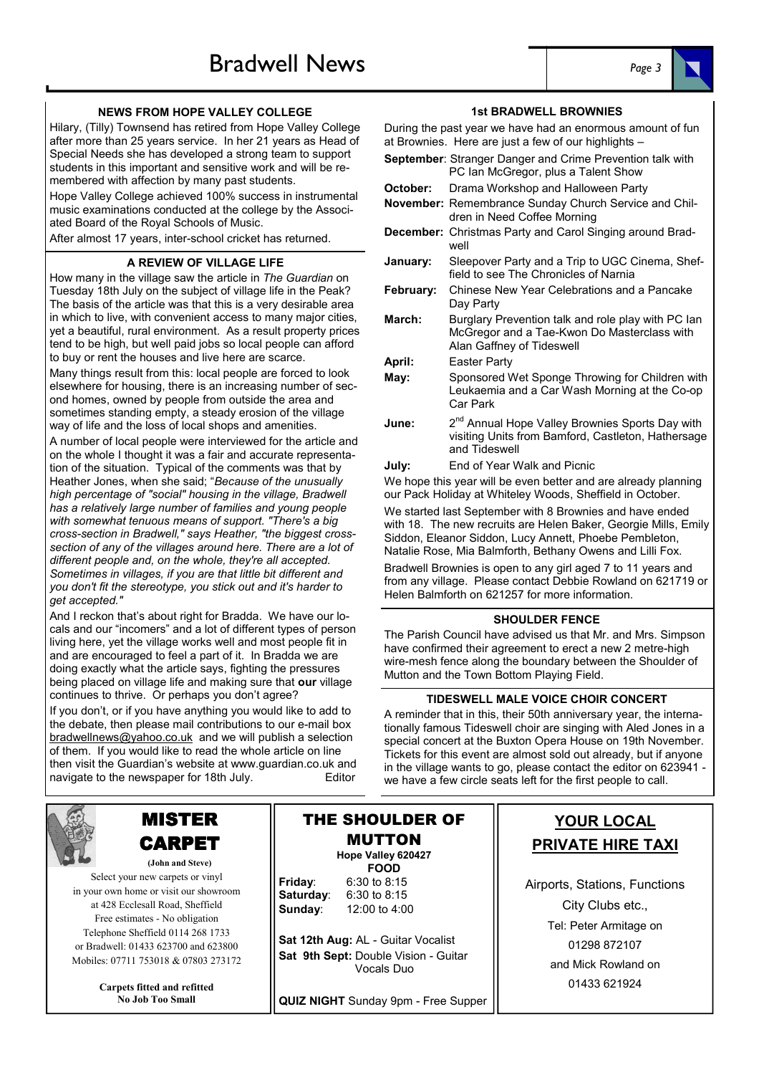

Hilary, (Tilly) Townsend has retired from Hope Valley College after more than 25 years service. In her 21 years as Head of Special Needs she has developed a strong team to support students in this important and sensitive work and will be remembered with affection by many past students.

Hope Valley College achieved 100% success in instrumental music examinations conducted at the college by the Associated Board of the Royal Schools of Music.

After almost 17 years, inter-school cricket has returned.

#### A REVIEW OF VILLAGE LIFE

How many in the village saw the article in The Guardian on Tuesday 18th July on the subject of village life in the Peak? The basis of the article was that this is a very desirable area in which to live, with convenient access to many major cities, yet a beautiful, rural environment. As a result property prices tend to be high, but well paid jobs so local people can afford to buy or rent the houses and live here are scarce.

Many things result from this: local people are forced to look elsewhere for housing, there is an increasing number of second homes, owned by people from outside the area and sometimes standing empty, a steady erosion of the village way of life and the loss of local shops and amenities.

A number of local people were interviewed for the article and on the whole I thought it was a fair and accurate representation of the situation. Typical of the comments was that by Heather Jones, when she said; "Because of the unusually high percentage of "social" housing in the village, Bradwell has a relatively large number of families and young people with somewhat tenuous means of support. "There's a big cross-section in Bradwell," says Heather, "the biggest crosssection of any of the villages around here. There are a lot of different people and, on the whole, they're all accepted. Sometimes in villages, if you are that little bit different and you don't fit the stereotype, you stick out and it's harder to get accepted."

And I reckon that's about right for Bradda. We have our locals and our "incomers" and a lot of different types of person living here, yet the village works well and most people fit in and are encouraged to feel a part of it. In Bradda we are doing exactly what the article says, fighting the pressures being placed on village life and making sure that our village continues to thrive. Or perhaps you don't agree?

If you don't, or if you have anything you would like to add to the debate, then please mail contributions to our e-mail box bradwellnews@yahoo.co.uk and we will publish a selection of them. If you would like to read the whole article on line then visit the Guardian's website at www.guardian.co.uk and navigate to the newspaper for 18th July. Editor



### MISTER CARPET

(John and Steve) Select your new carpets or vinyl in your own home or visit our showroom at 428 Ecclesall Road, Sheffield Free estimates - No obligation Telephone Sheffield 0114 268 1733 or Bradwell: 01433 623700 and 623800 Mobiles: 07711 753018 & 07803 273172

> Carpets fitted and refitted No Job Too Small

### THE SHOULDER OF MUTTON Hope Valley 620427

FOOD Friday: 6:30 to 8:15 Saturday: 6:30 to 8:15 Sunday: 12:00 to 4:00

Sat 12th Aug: AL - Guitar Vocalist Sat 9th Sept: Double Vision - Guitar Vocals Duo

QUIZ NIGHT Sunday 9pm - Free Supper

#### 1st BRADWELL BROWNIES

During the past year we have had an enormous amount of fun at Brownies. Here are just a few of our highlights – September: Stranger Danger and Crime Prevention talk with

|           | <b>ocpiciniosi</b> . Oddingor Dangor and Ohino i Tevondon taliv with<br>PC Ian McGregor, plus a Talent Show                        |
|-----------|------------------------------------------------------------------------------------------------------------------------------------|
| October:  | Drama Workshop and Halloween Party                                                                                                 |
|           | <b>November:</b> Remembrance Sunday Church Service and Chil-<br>dren in Need Coffee Morning                                        |
|           | <b>December:</b> Christmas Party and Carol Singing around Brad-<br>well                                                            |
| January:  | Sleepover Party and a Trip to UGC Cinema, Shef-<br>field to see The Chronicles of Narnia                                           |
| February: | Chinese New Year Celebrations and a Pancake<br>Day Party                                                                           |
| March:    | Burglary Prevention talk and role play with PC lan<br>McGregor and a Tae-Kwon Do Masterclass with<br>Alan Gaffney of Tideswell     |
| April:    | <b>Easter Party</b>                                                                                                                |
| May:      | Sponsored Wet Sponge Throwing for Children with<br>Leukaemia and a Car Wash Morning at the Co-op<br>Car Park                       |
| June:     | 2 <sup>nd</sup> Annual Hope Valley Brownies Sports Day with<br>visiting Units from Bamford, Castleton, Hathersage<br>and Tideswell |
| July:     | End of Year Walk and Picnic                                                                                                        |
|           | We hope this year will be even better and are already planning<br>our Pack Holiday at Whiteley Woods, Sheffield in October.        |

We started last September with 8 Brownies and have ended with 18. The new recruits are Helen Baker, Georgie Mills, Emily Siddon, Eleanor Siddon, Lucy Annett, Phoebe Pembleton, Natalie Rose, Mia Balmforth, Bethany Owens and Lilli Fox.

Bradwell Brownies is open to any girl aged 7 to 11 years and from any village. Please contact Debbie Rowland on 621719 or Helen Balmforth on 621257 for more information.

#### SHOULDER FENCE

The Parish Council have advised us that Mr. and Mrs. Simpson have confirmed their agreement to erect a new 2 metre-high wire-mesh fence along the boundary between the Shoulder of Mutton and the Town Bottom Playing Field.

#### TIDESWELL MALE VOICE CHOIR CONCERT

A reminder that in this, their 50th anniversary year, the internationally famous Tideswell choir are singing with Aled Jones in a special concert at the Buxton Opera House on 19th November. Tickets for this event are almost sold out already, but if anyone in the village wants to go, please contact the editor on 623941 we have a few circle seats left for the first people to call.

### YOUR LOCAL PRIVATE HIRE TAXI

Airports, Stations, Functions City Clubs etc., Tel: Peter Armitage on 01298 872107 and Mick Rowland on 01433 621924